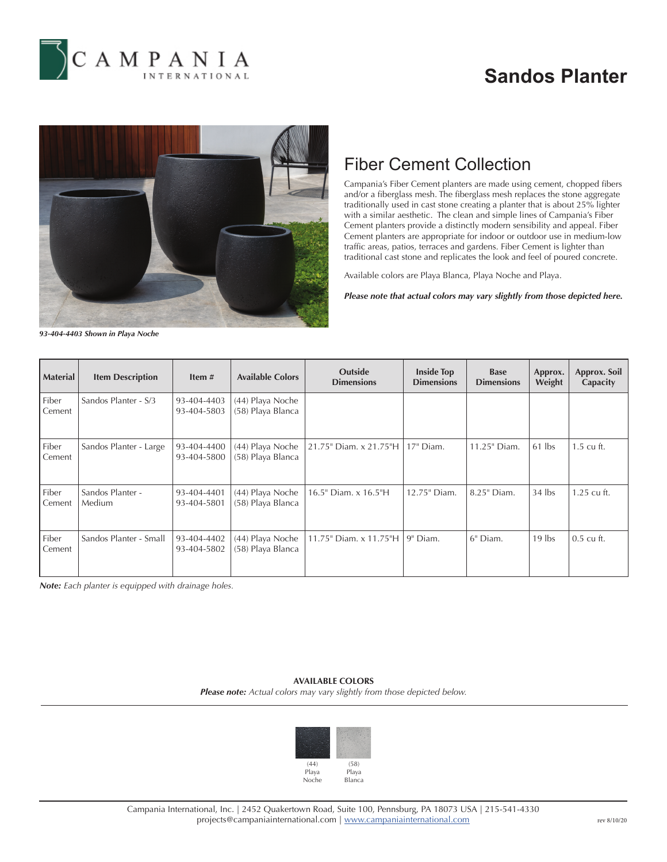

## **Sandos Planter**



## Fiber Cement Collection

Campania's Fiber Cement planters are made using cement, chopped fibers and/or a fiberglass mesh. The fiberglass mesh replaces the stone aggregate traditionally used in cast stone creating a planter that is about 25% lighter with a similar aesthetic. The clean and simple lines of Campania's Fiber Cement planters provide a distinctly modern sensibility and appeal. Fiber Cement planters are appropriate for indoor or outdoor use in medium-low traffic areas, patios, terraces and gardens. Fiber Cement is lighter than traditional cast stone and replicates the look and feel of poured concrete.

Available colors are Playa Blanca, Playa Noche and Playa.

*Please note that actual colors may vary slightly from those depicted here.*

*93-404-4403 Shown in Playa Noche*

| <b>Material</b> | <b>Item Description</b>           | Item $#$                   | <b>Available Colors</b>               | <b>Outside</b><br><b>Dimensions</b> | <b>Inside Top</b><br><b>Dimensions</b> | <b>Base</b><br><b>Dimensions</b> | Approx.<br>Weight | Approx. Soil<br>Capacity |
|-----------------|-----------------------------------|----------------------------|---------------------------------------|-------------------------------------|----------------------------------------|----------------------------------|-------------------|--------------------------|
| Fiber<br>Cement | Sandos Planter - S/3              | 93-404-4403<br>93-404-5803 | (44) Playa Noche<br>(58) Playa Blanca |                                     |                                        |                                  |                   |                          |
| Fiber<br>Cement | Sandos Planter - Large            | 93-404-4400<br>93-404-5800 | (44) Playa Noche<br>(58) Playa Blanca | 21.75" Diam. x 21.75"H              | 17" Diam.                              | 11.25" Diam.                     | $61$ lbs          | $1.5 \text{ cu ft.}$     |
| Fiber<br>Cement | Sandos Planter -<br><b>Medium</b> | 93-404-4401<br>93-404-5801 | (44) Playa Noche<br>(58) Playa Blanca | 16.5" Diam. x 16.5"H                | 12.75" Diam.                           | 8.25" Diam.                      | $34$ lbs          | $1.25$ cu ft.            |
| Fiber<br>Cement | Sandos Planter - Small            | 93-404-4402<br>93-404-5802 | (44) Playa Noche<br>(58) Playa Blanca | 11.75" Diam. x 11.75"H              | 19" Diam.                              | 6" Diam.                         | $19$ lbs          | $0.5$ cu ft.             |

*Note: Each planter is equipped with drainage holes.*

**AVAILABLE COLORS** *Please note: Actual colors may vary slightly from those depicted below.*